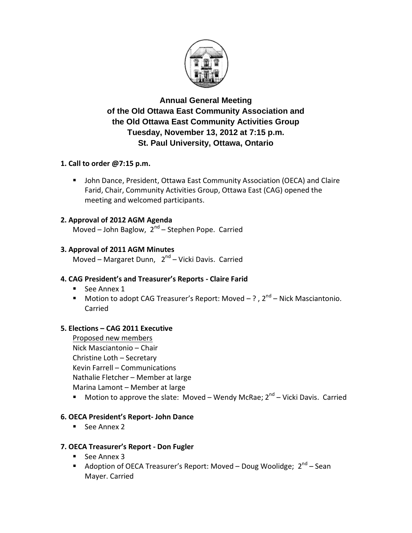

**Annual General Meeting of the Old Ottawa East Community Association and the Old Ottawa East Community Activities Group Tuesday, November 13, 2012 at 7:15 p.m. St. Paul University, Ottawa, Ontario**

# **1. Call to order @7:15 p.m.**

 John Dance, President, Ottawa East Community Association (OECA) and Claire Farid, Chair, Community Activities Group, Ottawa East (CAG) opened the meeting and welcomed participants.

# **2. Approval of 2012 AGM Agenda**

Moved – John Baglow, 2<sup>nd</sup> – Stephen Pope. Carried

# **3. Approval of 2011 AGM Minutes**

Moved – Margaret Dunn, 2<sup>nd</sup> – Vicki Davis. Carried

# **4. CAG President's and Treasurer's Reports - Claire Farid**

- See Annex 1
- $\blacksquare$  Motion to adopt CAG Treasurer's Report: Moved  $?$  ,  $2<sup>nd</sup>$  Nick Masciantonio. Carried

# **5. Elections – CAG 2011 Executive**

Proposed new members Nick Masciantonio – Chair Christine Loth – Secretary Kevin Farrell – Communications Nathalie Fletcher – Member at large Marina Lamont – Member at large

 $\blacksquare$  Motion to approve the slate: Moved – Wendy McRae;  $2^{nd}$  – Vicki Davis. Carried

# **6. OECA President's Report- John Dance**

See Annex 2

# **7. OECA Treasurer's Report - Don Fugler**

- $See$  Annex 3
- Adoption of OECA Treasurer's Report: Moved Doug Woolidge; 2<sup>nd</sup> Sean Mayer. Carried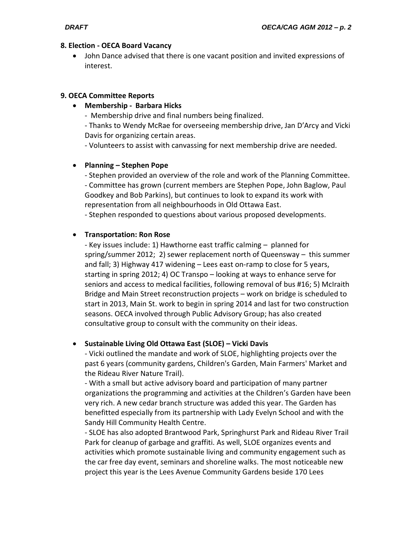## **8. Election - OECA Board Vacancy**

 John Dance advised that there is one vacant position and invited expressions of interest.

## **9. OECA Committee Reports**

**Membership - Barbara Hicks**

- Membership drive and final numbers being finalized.

- Thanks to Wendy McRae for overseeing membership drive, Jan D'Arcy and Vicki Davis for organizing certain areas.

- Volunteers to assist with canvassing for next membership drive are needed.

# **Planning – Stephen Pope**

- Stephen provided an overview of the role and work of the Planning Committee. - Committee has grown (current members are Stephen Pope, John Baglow, Paul Goodkey and Bob Parkins), but continues to look to expand its work with representation from all neighbourhoods in Old Ottawa East.

- Stephen responded to questions about various proposed developments.

# **Transportation: Ron Rose**

- Key issues include: 1) Hawthorne east traffic calming – planned for spring/summer 2012; 2) sewer replacement north of Queensway – this summer and fall; 3) Highway 417 widening – Lees east on-ramp to close for 5 years, starting in spring 2012; 4) OC Transpo – looking at ways to enhance serve for seniors and access to medical facilities, following removal of bus #16; 5) McIraith Bridge and Main Street reconstruction projects – work on bridge is scheduled to start in 2013, Main St. work to begin in spring 2014 and last for two construction seasons. OECA involved through Public Advisory Group; has also created consultative group to consult with the community on their ideas.

# **Sustainable Living Old Ottawa East (SLOE) – Vicki Davis**

- Vicki outlined the mandate and work of SLOE, highlighting projects over the past 6 years (community gardens, Children's Garden, Main Farmers' Market and the Rideau River Nature Trail).

- With a small but active advisory board and participation of many partner organizations the programming and activities at the Children's Garden have been very rich. A new cedar branch structure was added this year. The Garden has benefitted especially from its partnership with Lady Evelyn School and with the Sandy Hill Community Health Centre.

- SLOE has also adopted Brantwood Park, Springhurst Park and Rideau River Trail Park for cleanup of garbage and graffiti. As well, SLOE organizes events and activities which promote sustainable living and community engagement such as the car free day event, seminars and shoreline walks. The most noticeable new project this year is the Lees Avenue Community Gardens beside 170 Lees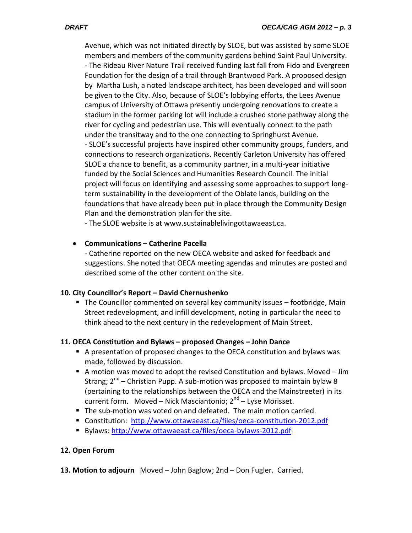Avenue, which was not initiated directly by SLOE, but was assisted by some SLOE members and members of the community gardens behind Saint Paul University. - The Rideau River Nature Trail received funding last fall from Fido and Evergreen Foundation for the design of a trail through Brantwood Park. A proposed design by Martha Lush, a noted landscape architect, has been developed and will soon be given to the City. Also, because of SLOE's lobbying efforts, the Lees Avenue campus of University of Ottawa presently undergoing renovations to create a stadium in the former parking lot will include a crushed stone pathway along the river for cycling and pedestrian use. This will eventually connect to the path under the transitway and to the one connecting to Springhurst Avenue. - SLOE's successful projects have inspired other community groups, funders, and connections to research organizations. Recently Carleton University has offered SLOE a chance to benefit, as a community partner, in a multi-year initiative funded by the Social Sciences and Humanities Research Council. The initial project will focus on identifying and assessing some approaches to support longterm sustainability in the development of the Oblate lands, building on the foundations that have already been put in place through the Community Design Plan and the demonstration plan for the site.

- The SLOE website is at www.sustainablelivingottawaeast.ca.

# **Communications – Catherine Pacella**

- Catherine reported on the new OECA website and asked for feedback and suggestions. She noted that OECA meeting agendas and minutes are posted and described some of the other content on the site.

# **10. City Councillor's Report – David Chernushenko**

■ The Councillor commented on several key community issues – footbridge, Main Street redevelopment, and infill development, noting in particular the need to think ahead to the next century in the redevelopment of Main Street.

# **11. OECA Constitution and Bylaws – proposed Changes – John Dance**

- A presentation of proposed changes to the OECA constitution and bylaws was made, followed by discussion.
- A motion was moved to adopt the revised Constitution and bylaws. Moved  $-Jim$ Strang; 2<sup>nd</sup> – Christian Pupp. A sub-motion was proposed to maintain bylaw 8 (pertaining to the relationships between the OECA and the Mainstreeter) in its current form. Moved – Nick Masciantonio; 2<sup>nd</sup> – Lyse Morisset.
- The sub-motion was voted on and defeated. The main motion carried.
- Constitution: <http://www.ottawaeast.ca/files/oeca-constitution-2012.pdf>
- Bylaws[: http://www.ottawaeast.ca/files/oeca-bylaws-2012.pdf](http://www.ottawaeast.ca/files/oeca-bylaws-2012.pdf)

# **12. Open Forum**

**13. Motion to adjourn** Moved – John Baglow; 2nd – Don Fugler. Carried.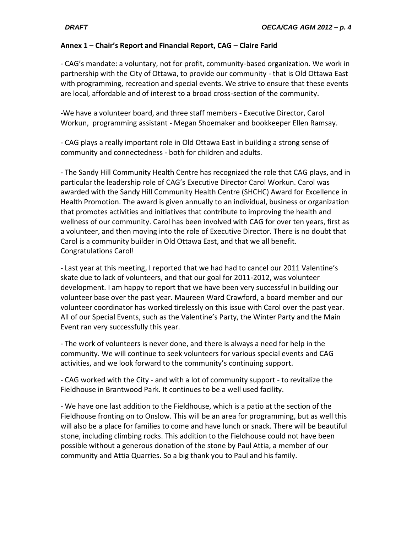## **Annex 1 – Chair's Report and Financial Report, CAG – Claire Farid**

- CAG's mandate: a voluntary, not for profit, community-based organization. We work in partnership with the City of Ottawa, to provide our community - that is Old Ottawa East with programming, recreation and special events. We strive to ensure that these events are local, affordable and of interest to a broad cross-section of the community.

-We have a volunteer board, and three staff members - Executive Director, Carol Workun, programming assistant - Megan Shoemaker and bookkeeper Ellen Ramsay.

- CAG plays a really important role in Old Ottawa East in building a strong sense of community and connectedness - both for children and adults.

- The Sandy Hill Community Health Centre has recognized the role that CAG plays, and in particular the leadership role of CAG's Executive Director Carol Workun. Carol was awarded with the Sandy Hill Community Health Centre (SHCHC) Award for Excellence in Health Promotion. The award is given annually to an individual, business or organization that promotes activities and initiatives that contribute to improving the health and wellness of our community. Carol has been involved with CAG for over ten years, first as a volunteer, and then moving into the role of Executive Director. There is no doubt that Carol is a community builder in Old Ottawa East, and that we all benefit. Congratulations Carol!

- Last year at this meeting, I reported that we had had to cancel our 2011 Valentine's skate due to lack of volunteers, and that our goal for 2011-2012, was volunteer development. I am happy to report that we have been very successful in building our volunteer base over the past year. Maureen Ward Crawford, a board member and our volunteer coordinator has worked tirelessly on this issue with Carol over the past year. All of our Special Events, such as the Valentine's Party, the Winter Party and the Main Event ran very successfully this year.

- The work of volunteers is never done, and there is always a need for help in the community. We will continue to seek volunteers for various special events and CAG activities, and we look forward to the community's continuing support.

- CAG worked with the City - and with a lot of community support - to revitalize the Fieldhouse in Brantwood Park. It continues to be a well used facility.

- We have one last addition to the Fieldhouse, which is a patio at the section of the Fieldhouse fronting on to Onslow. This will be an area for programming, but as well this will also be a place for families to come and have lunch or snack. There will be beautiful stone, including climbing rocks. This addition to the Fieldhouse could not have been possible without a generous donation of the stone by Paul Attia, a member of our community and Attia Quarries. So a big thank you to Paul and his family.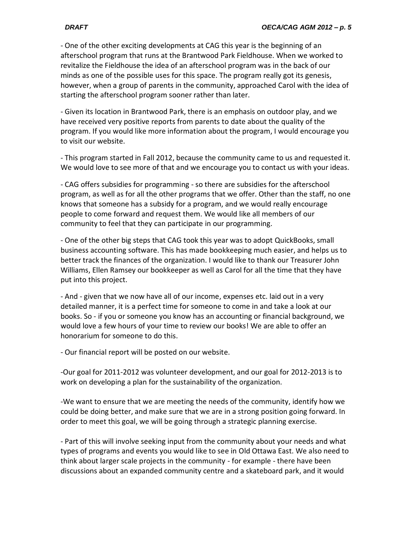- One of the other exciting developments at CAG this year is the beginning of an afterschool program that runs at the Brantwood Park Fieldhouse. When we worked to revitalize the Fieldhouse the idea of an afterschool program was in the back of our minds as one of the possible uses for this space. The program really got its genesis, however, when a group of parents in the community, approached Carol with the idea of starting the afterschool program sooner rather than later.

- Given its location in Brantwood Park, there is an emphasis on outdoor play, and we have received very positive reports from parents to date about the quality of the program. If you would like more information about the program, I would encourage you to visit our website.

- This program started in Fall 2012, because the community came to us and requested it. We would love to see more of that and we encourage you to contact us with your ideas.

- CAG offers subsidies for programming - so there are subsidies for the afterschool program, as well as for all the other programs that we offer. Other than the staff, no one knows that someone has a subsidy for a program, and we would really encourage people to come forward and request them. We would like all members of our community to feel that they can participate in our programming.

- One of the other big steps that CAG took this year was to adopt QuickBooks, small business accounting software. This has made bookkeeping much easier, and helps us to better track the finances of the organization. I would like to thank our Treasurer John Williams, Ellen Ramsey our bookkeeper as well as Carol for all the time that they have put into this project.

- And - given that we now have all of our income, expenses etc. laid out in a very detailed manner, it is a perfect time for someone to come in and take a look at our books. So - if you or someone you know has an accounting or financial background, we would love a few hours of your time to review our books! We are able to offer an honorarium for someone to do this.

- Our financial report will be posted on our website.

-Our goal for 2011-2012 was volunteer development, and our goal for 2012-2013 is to work on developing a plan for the sustainability of the organization.

-We want to ensure that we are meeting the needs of the community, identify how we could be doing better, and make sure that we are in a strong position going forward. In order to meet this goal, we will be going through a strategic planning exercise.

- Part of this will involve seeking input from the community about your needs and what types of programs and events you would like to see in Old Ottawa East. We also need to think about larger scale projects in the community - for example - there have been discussions about an expanded community centre and a skateboard park, and it would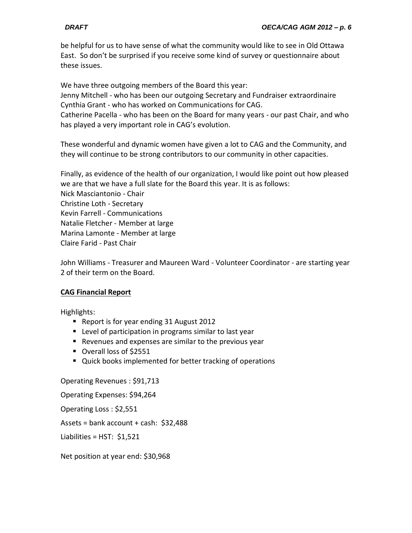be helpful for us to have sense of what the community would like to see in Old Ottawa East. So don't be surprised if you receive some kind of survey or questionnaire about these issues.

We have three outgoing members of the Board this year: Jenny Mitchell - who has been our outgoing Secretary and Fundraiser extraordinaire Cynthia Grant - who has worked on Communications for CAG.

Catherine Pacella - who has been on the Board for many years - our past Chair, and who has played a very important role in CAG's evolution.

These wonderful and dynamic women have given a lot to CAG and the Community, and they will continue to be strong contributors to our community in other capacities.

Finally, as evidence of the health of our organization, I would like point out how pleased we are that we have a full slate for the Board this year. It is as follows: Nick Masciantonio - Chair Christine Loth - Secretary Kevin Farrell - Communications Natalie Fletcher - Member at large Marina Lamonte - Member at large Claire Farid - Past Chair

John Williams - Treasurer and Maureen Ward - Volunteer Coordinator - are starting year 2 of their term on the Board.

# **CAG Financial Report**

Highlights:

- Report is for year ending 31 August 2012
- **EXT** Level of participation in programs similar to last year
- Revenues and expenses are similar to the previous year
- Overall loss of \$2551
- Quick books implemented for better tracking of operations

Operating Revenues : \$91,713

Operating Expenses: \$94,264

Operating Loss : \$2,551

Assets = bank account + cash: \$32,488

Liabilities = HST: \$1,521

Net position at year end: \$30,968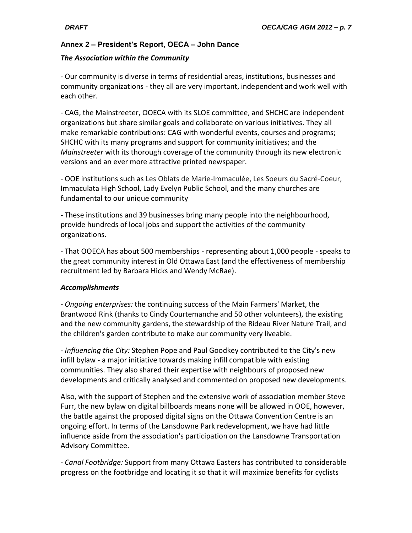# **Annex 2 – President's Report, OECA – John Dance**

## *The Association within the Community*

- Our community is diverse in terms of residential areas, institutions, businesses and community organizations - they all are very important, independent and work well with each other.

- CAG, the Mainstreeter, OOECA with its SLOE committee, and SHCHC are independent organizations but share similar goals and collaborate on various initiatives. They all make remarkable contributions: CAG with wonderful events, courses and programs; SHCHC with its many programs and support for community initiatives; and the *Mainstreeter* with its thorough coverage of the community through its new electronic versions and an ever more attractive printed newspaper.

- OOE institutions such as Les Oblats de Marie-Immaculée, Les Soeurs du Sacré-Coeur, Immaculata High School, Lady Evelyn Public School, and the many churches are fundamental to our unique community

- These institutions and 39 businesses bring many people into the neighbourhood, provide hundreds of local jobs and support the activities of the community organizations.

- That OOECA has about 500 memberships - representing about 1,000 people - speaks to the great community interest in Old Ottawa East (and the effectiveness of membership recruitment led by Barbara Hicks and Wendy McRae).

# *Accomplishments*

- *Ongoing enterprises:* the continuing success of the Main Farmers' Market, the Brantwood Rink (thanks to Cindy Courtemanche and 50 other volunteers), the existing and the new community gardens, the stewardship of the Rideau River Nature Trail, and the children's garden contribute to make our community very liveable.

*- Influencing the City:* Stephen Pope and Paul Goodkey contributed to the City's new infill bylaw - a major initiative towards making infill compatible with existing communities. They also shared their expertise with neighbours of proposed new developments and critically analysed and commented on proposed new developments.

Also, with the support of Stephen and the extensive work of association member Steve Furr, the new bylaw on digital billboards means none will be allowed in OOE, however, the battle against the proposed digital signs on the Ottawa Convention Centre is an ongoing effort. In terms of the Lansdowne Park redevelopment, we have had little influence aside from the association's participation on the Lansdowne Transportation Advisory Committee.

- *Canal Footbridge:* Support from many Ottawa Easters has contributed to considerable progress on the footbridge and locating it so that it will maximize benefits for cyclists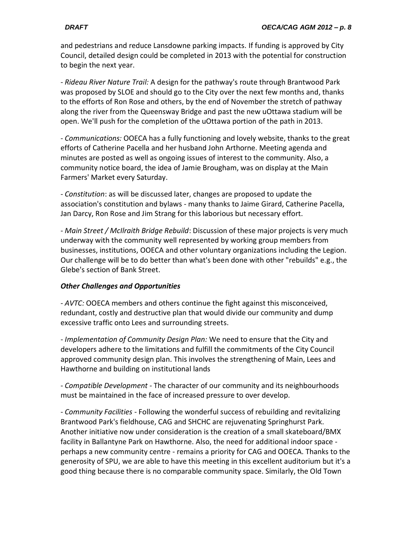and pedestrians and reduce Lansdowne parking impacts. If funding is approved by City Council, detailed design could be completed in 2013 with the potential for construction to begin the next year.

- *Rideau River Nature Trail:* A design for the pathway's route through Brantwood Park was proposed by SLOE and should go to the City over the next few months and, thanks to the efforts of Ron Rose and others, by the end of November the stretch of pathway along the river from the Queensway Bridge and past the new uOttawa stadium will be open. We'll push for the completion of the uOttawa portion of the path in 2013.

- *Communications:* OOECA has a fully functioning and lovely website, thanks to the great efforts of Catherine Pacella and her husband John Arthorne. Meeting agenda and minutes are posted as well as ongoing issues of interest to the community. Also, a community notice board, the idea of Jamie Brougham, was on display at the Main Farmers' Market every Saturday.

- *Constitution*: as will be discussed later, changes are proposed to update the association's constitution and bylaws - many thanks to Jaime Girard, Catherine Pacella, Jan Darcy, Ron Rose and Jim Strang for this laborious but necessary effort.

- *Main Street / McIlraith Bridge Rebuild*: Discussion of these major projects is very much underway with the community well represented by working group members from businesses, institutions, OOECA and other voluntary organizations including the Legion. Our challenge will be to do better than what's been done with other "rebuilds" e.g., the Glebe's section of Bank Street.

# *Other Challenges and Opportunities*

- *AVTC:* OOECA members and others continue the fight against this misconceived, redundant, costly and destructive plan that would divide our community and dump excessive traffic onto Lees and surrounding streets.

*- Implementation of Community Design Plan:* We need to ensure that the City and developers adhere to the limitations and fulfill the commitments of the City Council approved community design plan. This involves the strengthening of Main, Lees and Hawthorne and building on institutional lands

- *Compatible Development* - The character of our community and its neighbourhoods must be maintained in the face of increased pressure to over develop.

- *Community Facilities* - Following the wonderful success of rebuilding and revitalizing Brantwood Park's fieldhouse, CAG and SHCHC are rejuvenating Springhurst Park. Another initiative now under consideration is the creation of a small skateboard/BMX facility in Ballantyne Park on Hawthorne. Also, the need for additional indoor space perhaps a new community centre - remains a priority for CAG and OOECA. Thanks to the generosity of SPU, we are able to have this meeting in this excellent auditorium but it's a good thing because there is no comparable community space. Similarly, the Old Town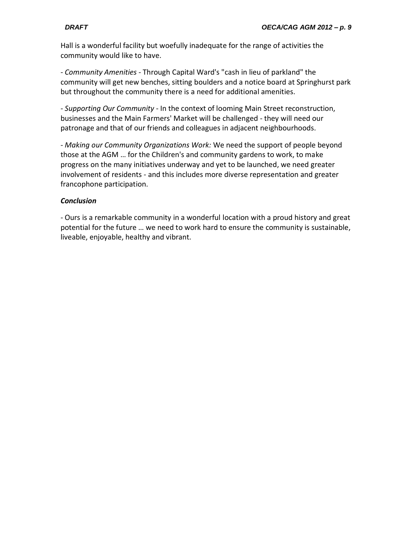Hall is a wonderful facility but woefully inadequate for the range of activities the community would like to have.

- *Community Amenities -* Through Capital Ward's "cash in lieu of parkland" the community will get new benches, sitting boulders and a notice board at Springhurst park but throughout the community there is a need for additional amenities.

*- Supporting Our Community* - In the context of looming Main Street reconstruction, businesses and the Main Farmers' Market will be challenged - they will need our patronage and that of our friends and colleagues in adjacent neighbourhoods.

- *Making our Community Organizations Work:* We need the support of people beyond those at the AGM … for the Children's and community gardens to work, to make progress on the many initiatives underway and yet to be launched, we need greater involvement of residents - and this includes more diverse representation and greater francophone participation.

## *Conclusion*

- Ours is a remarkable community in a wonderful location with a proud history and great potential for the future … we need to work hard to ensure the community is sustainable, liveable, enjoyable, healthy and vibrant.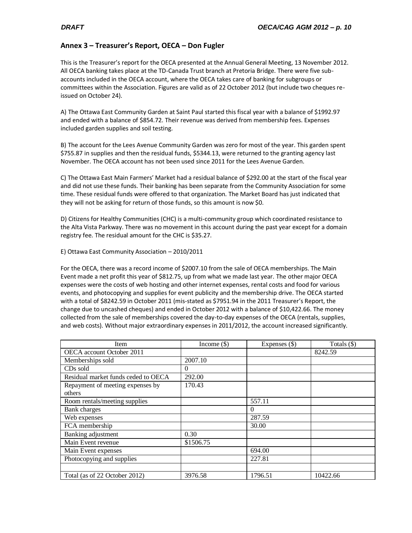### **Annex 3 – Treasurer's Report, OECA – Don Fugler**

This is the Treasurer's report for the OECA presented at the Annual General Meeting, 13 November 2012. All OECA banking takes place at the TD-Canada Trust branch at Pretoria Bridge. There were five subaccounts included in the OECA account, where the OECA takes care of banking for subgroups or committees within the Association. Figures are valid as of 22 October 2012 (but include two cheques reissued on October 24).

A) The Ottawa East Community Garden at Saint Paul started this fiscal year with a balance of \$1992.97 and ended with a balance of \$854.72. Their revenue was derived from membership fees. Expenses included garden supplies and soil testing.

B) The account for the Lees Avenue Community Garden was zero for most of the year. This garden spent \$755.87 in supplies and then the residual funds, \$5344.13, were returned to the granting agency last November. The OECA account has not been used since 2011 for the Lees Avenue Garden.

C) The Ottawa East Main Farmers' Market had a residual balance of \$292.00 at the start of the fiscal year and did not use these funds. Their banking has been separate from the Community Association for some time. These residual funds were offered to that organization. The Market Board has just indicated that they will not be asking for return of those funds, so this amount is now \$0.

D) Citizens for Healthy Communities (CHC) is a multi-community group which coordinated resistance to the Alta Vista Parkway. There was no movement in this account during the past year except for a domain registry fee. The residual amount for the CHC is \$35.27.

### E) Ottawa East Community Association – 2010/2011

For the OECA, there was a record income of \$2007.10 from the sale of OECA memberships. The Main Event made a net profit this year of \$812.75, up from what we made last year. The other major OECA expenses were the costs of web hosting and other internet expenses, rental costs and food for various events, and photocopying and supplies for event publicity and the membership drive. The OECA started with a total of \$8242.59 in October 2011 (mis-stated as \$7951.94 in the 2011 Treasurer's Report, the change due to uncashed cheques) and ended in October 2012 with a balance of \$10,422.66. The money collected from the sale of memberships covered the day-to-day expenses of the OECA (rentals, supplies, and web costs). Without major extraordinary expenses in 2011/2012, the account increased significantly.

| Item                                | Income $(\$)$ | Expenses $(\$)$ | Totals $(\$)$ |
|-------------------------------------|---------------|-----------------|---------------|
| OECA account October 2011           |               |                 | 8242.59       |
| Memberships sold                    | 2007.10       |                 |               |
| CD <sub>s</sub> sold                | 0             |                 |               |
| Residual market funds ceded to OECA | 292.00        |                 |               |
| Repayment of meeting expenses by    | 170.43        |                 |               |
| others                              |               |                 |               |
| Room rentals/meeting supplies       |               | 557.11          |               |
| Bank charges                        |               | $\theta$        |               |
| Web expenses                        |               | 287.59          |               |
| FCA membership                      |               | 30.00           |               |
| Banking adjustment                  | 0.30          |                 |               |
| Main Event revenue                  | \$1506.75     |                 |               |
| Main Event expenses                 |               | 694.00          |               |
| Photocopying and supplies           |               | 227.81          |               |
|                                     |               |                 |               |
| Total (as of 22 October 2012)       | 3976.58       | 1796.51         | 10422.66      |